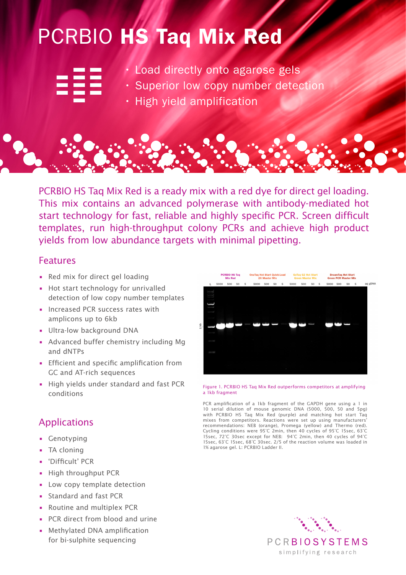## PCRBIO HS Taq Mix Red

|  |                         | and the state of the state of                |  |
|--|-------------------------|----------------------------------------------|--|
|  |                         | the contract of the contract of the          |  |
|  |                         |                                              |  |
|  | <b>The Common State</b> |                                              |  |
|  |                         |                                              |  |
|  |                         | the control of the control of the control of |  |
|  |                         |                                              |  |

• Load directly onto agarose gels

- Superior low copy number detection
- High yield amplification

PCRBIO HS Taq Mix Red is a ready mix with a red dye for direct gel loading. This mix contains an advanced polymerase with antibody-mediated hot start technology for fast, reliable and highly specific PCR. Screen difficult templates, run high-throughput colony PCRs and achieve high product yields from low abundance targets with minimal pipetting.

## Features

- Red mix for direct gel loading
- Hot start technology for unrivalled detection of low copy number templates
- Increased PCR success rates with amplicons up to 6kb
- Ultra-low background DNA
- Advanced buffer chemistry including Mg and dNTPs
- Efficient and specific amplification from GC and AT-rich sequences
- High yields under standard and fast PCR conditions

## Applications

- Genotyping
- TA cloning
- 'Difficult' PCR
- High throughput PCR
- Low copy template detection
- Standard and fast PCR
- Routine and multiplex PCR
- PCR direct from blood and urine
- Methylated DNA amplification for bi-sulphite sequencing



Figure 1. PCRBIO HS Taq Mix Red outperforms competitors at amplifying a 1kb fragment

PCR amplification of a 1kb fragment of the GAPDH gene using a 1 in 10 serial dilution of mouse genomic DNA (5000, 500, 50 and 5pg) with PCRBIO HS Taq Mix Red (purple) and matching hot start Taq mixes from competitors. Reactions were set up using manufacturers' recommendations: NEB (orange), Promega (yellow) and Thermo (red). Cycling conditions were 95°C 2min, then 40 cycles of 95°C 15sec, 63°C 15sec, 72°C 30sec except for NEB: 94°C 2min, then 40 cycles of 94°C 15sec, 63°C 15sec, 68°C 30sec. 2/5 of the reaction volume was loaded in 1% agarose gel. L: PCRBIO Ladder II.